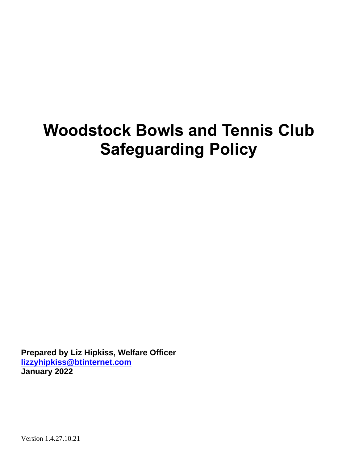# **Woodstock Bowls and Tennis Club Safeguarding Policy**

**Prepared by Liz Hipkiss, Welfare Officer [lizzyhipkiss@btinternet.com](mailto:lizzyhipkiss@btinternet.com) January 2022**

Version 1.4.27.10.21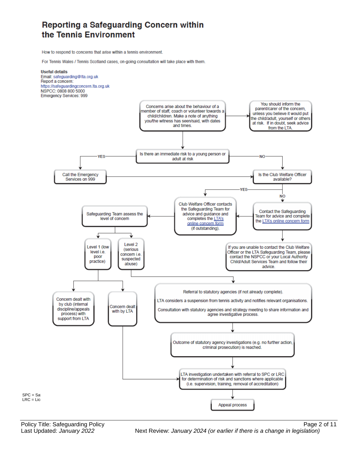## Reporting a Safeguarding Concern within the Tennis Environment

How to respond to concerns that arise within a tennis environment.

For Tennis Wales / Tennis Scotland cases, on-going consultation will take place with them.



Policy Title: Safeguarding Policy **Policy Page 2 of 11** Last Updated: *January 2022* Next Review: *January 2024 (or earlier if there is a change in legislation)*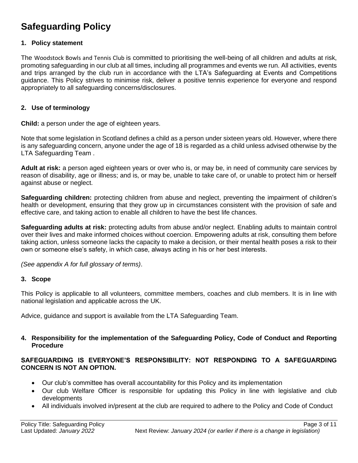## **Safeguarding Policy**

#### **1. Policy statement**

The Woodstock Bowls and Tennis Club is committed to prioritising the well-being of all children and adults at risk, promoting safeguarding in our club at all times, including all programmes and events we run. All activities, events and trips arranged by the club run in accordance with the LTA's Safeguarding at Events and Competitions guidance. This Policy strives to minimise risk, deliver a positive tennis experience for everyone and respond appropriately to all safeguarding concerns/disclosures.

#### **2. Use of terminology**

**Child:** a person under the age of eighteen years.

Note that some legislation in Scotland defines a child as a person under sixteen years old. However, where there is any safeguarding concern, anyone under the age of 18 is regarded as a child unless advised otherwise by the LTA Safeguarding Team .

**Adult at risk:** a person aged eighteen years or over who is, or may be, in need of community care services by reason of disability, age or illness; and is, or may be, unable to take care of, or unable to protect him or herself against abuse or neglect.

**Safeguarding children:** protecting children from abuse and neglect, preventing the impairment of children's health or development, ensuring that they grow up in circumstances consistent with the provision of safe and effective care, and taking action to enable all children to have the best life chances.

**Safeguarding adults at risk:** protecting adults from abuse and/or neglect. Enabling adults to maintain control over their lives and make informed choices without coercion. Empowering adults at risk, consulting them before taking action, unless someone lacks the capacity to make a decision, or their mental health poses a risk to their own or someone else's safety, in which case, always acting in his or her best interests.

*(See appendix A for full glossary of terms)*.

#### **3. Scope**

This Policy is applicable to all volunteers, committee members, coaches and club members. It is in line with national legislation and applicable across the UK.

Advice, guidance and support is available from the LTA Safeguarding Team.

#### **4. Responsibility for the implementation of the Safeguarding Policy, Code of Conduct and Reporting Procedure**

#### **SAFEGUARDING IS EVERYONE'S RESPONSIBILITY: NOT RESPONDING TO A SAFEGUARDING CONCERN IS NOT AN OPTION.**

- Our club's committee has overall accountability for this Policy and its implementation
- Our club Welfare Officer is responsible for updating this Policy in line with legislative and club developments
- All individuals involved in/present at the club are required to adhere to the Policy and Code of Conduct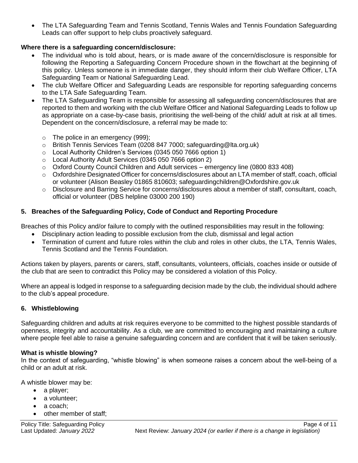• The LTA Safeguarding Team and Tennis Scotland, Tennis Wales and Tennis Foundation Safeguarding Leads can offer support to help clubs proactively safeguard.

#### **Where there is a safeguarding concern/disclosure:**

- The individual who is told about, hears, or is made aware of the concern/disclosure is responsible for following the Reporting a Safeguarding Concern Procedure shown in the flowchart at the beginning of this policy. Unless someone is in immediate danger, they should inform their club Welfare Officer, LTA Safeguarding Team or National Safeguarding Lead.
- The club Welfare Officer and Safeguarding Leads are responsible for reporting safeguarding concerns to the LTA Safe Safeguarding Team.
- The LTA Safeguarding Team is responsible for assessing all safeguarding concern/disclosures that are reported to them and working with the club Welfare Officer and National Safeguarding Leads to follow up as appropriate on a case-by-case basis, prioritising the well-being of the child/ adult at risk at all times. Dependent on the concern/disclosure, a referral may be made to:
	- o The police in an emergency (999);
	- o British Tennis Services Team (0208 847 7000; safeguarding@lta.org.uk)
	- o Local Authority Children's Services (0345 050 7666 option 1)
	- o Local Authority Adult Services (0345 050 7666 option 2)
	- o Oxford County Council Children and Adult services emergency line (0800 833 408)
	- $\circ$  Oxfordshire Designated Officer for concerns/disclosures about an LTA member of staff, coach, official or volunteer (Alison Beasley 01865 810603; safeguardingchildren@Oxfordshire.gov.uk
	- o Disclosure and Barring Service for concerns/disclosures about a member of staff, consultant, coach, official or volunteer (DBS helpline 03000 200 190)

#### **5. Breaches of the Safeguarding Policy, Code of Conduct and Reporting Procedure**

Breaches of this Policy and/or failure to comply with the outlined responsibilities may result in the following:

- Disciplinary action leading to possible exclusion from the club, dismissal and legal action
- Termination of current and future roles within the club and roles in other clubs, the LTA, Tennis Wales, Tennis Scotland and the Tennis Foundation*.*

Actions taken by players, parents or carers, staff, consultants, volunteers, officials, coaches inside or outside of the club that are seen to contradict this Policy may be considered a violation of this Policy.

Where an appeal is lodged in response to a safeguarding decision made by the club, the individual should adhere to the club's appeal procedure.

#### **6. Whistleblowing**

Safeguarding children and adults at risk requires everyone to be committed to the highest possible standards of openness, integrity and accountability. As a club, we are committed to encouraging and maintaining a culture where people feel able to raise a genuine safeguarding concern and are confident that it will be taken seriously.

#### **What is whistle blowing?**

In the context of safeguarding, "whistle blowing" is when someone raises a concern about the well-being of a child or an adult at risk.

A whistle blower may be:

- a player;
- a volunteer;
- a coach:
- other member of staff;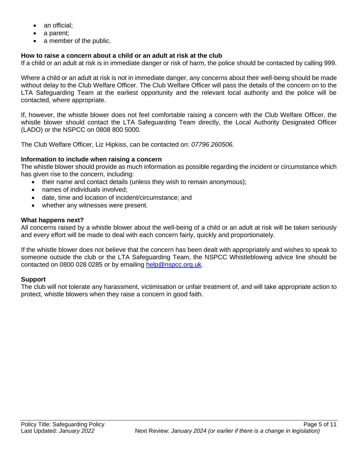- an official;
- a parent;
- a member of the public.

### **How to raise a concern about a child or an adult at risk at the club**

If a child or an adult at risk is in immediate danger or risk of harm, the police should be contacted by calling 999.

Where a child or an adult at risk is not in immediate danger, any concerns about their well-being should be made without delay to the Club Welfare Officer. The Club Welfare Officer will pass the details of the concern on to the LTA Safeguarding Team at the earliest opportunity and the relevant local authority and the police will be contacted, where appropriate.

If, however, the whistle blower does not feel comfortable raising a concern with the Club Welfare Officer, the whistle blower should contact the LTA Safeguarding Team directly, the Local Authority Designated Officer (LADO) or the NSPCC on 0808 800 5000.

The Club Welfare Officer, Liz Hipkiss, can be contacted on: *07796 260506.*

#### **Information to include when raising a concern**

The whistle blower should provide as much information as possible regarding the incident or circumstance which has given rise to the concern, including:

- their name and contact details (unless they wish to remain anonymous);
- names of individuals involved;
- date, time and location of incident/circumstance; and
- whether any witnesses were present.

#### **What happens next?**

All concerns raised by a whistle blower about the well-being of a child or an adult at risk will be taken seriously and every effort will be made to deal with each concern fairly, quickly and proportionately.

If the whistle blower does not believe that the concern has been dealt with appropriately and wishes to speak to someone outside the club or the LTA Safeguarding Team, the NSPCC Whistleblowing advice line should be contacted on 0800 028 0285 or by emailing [help@nspcc.org.uk.](mailto:help@nspcc.org.uk)

### **Support**

The club will not tolerate any harassment, victimisation or unfair treatment of, and will take appropriate action to protect, whistle blowers when they raise a concern in good faith.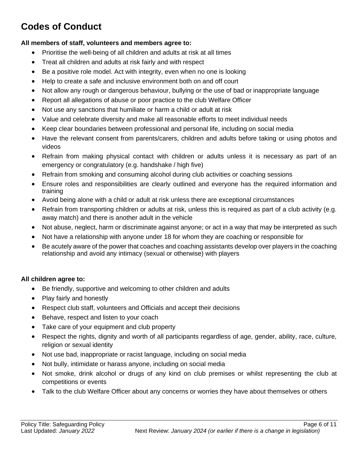## **Codes of Conduct**

#### **All members of staff, volunteers and members agree to:**

- Prioritise the well-being of all children and adults at risk at all times
- Treat all children and adults at risk fairly and with respect
- Be a positive role model. Act with integrity, even when no one is looking
- Help to create a safe and inclusive environment both on and off court
- Not allow any rough or dangerous behaviour, bullying or the use of bad or inappropriate language
- Report all allegations of abuse or poor practice to the club Welfare Officer
- Not use any sanctions that humiliate or harm a child or adult at risk
- Value and celebrate diversity and make all reasonable efforts to meet individual needs
- Keep clear boundaries between professional and personal life, including on social media
- Have the relevant consent from parents/carers, children and adults before taking or using photos and videos
- Refrain from making physical contact with children or adults unless it is necessary as part of an emergency or congratulatory (e.g. handshake / high five)
- Refrain from smoking and consuming alcohol during club activities or coaching sessions
- Ensure roles and responsibilities are clearly outlined and everyone has the required information and training
- Avoid being alone with a child or adult at risk unless there are exceptional circumstances
- Refrain from transporting children or adults at risk, unless this is required as part of a club activity (e.g. away match) and there is another adult in the vehicle
- Not abuse, neglect, harm or discriminate against anyone; or act in a way that may be interpreted as such
- Not have a relationship with anyone under 18 for whom they are coaching or responsible for
- Be acutely aware of the power that coaches and coaching assistants develop over players in the coaching relationship and avoid any intimacy (sexual or otherwise) with players

#### **All children agree to:**

- Be friendly, supportive and welcoming to other children and adults
- Play fairly and honestly
- Respect club staff, volunteers and Officials and accept their decisions
- Behave, respect and listen to your coach
- Take care of your equipment and club property
- Respect the rights, dignity and worth of all participants regardless of age, gender, ability, race, culture, religion or sexual identity
- Not use bad, inappropriate or racist language, including on social media
- Not bully, intimidate or harass anyone, including on social media
- Not smoke, drink alcohol or drugs of any kind on club premises or whilst representing the club at competitions or events
- Talk to the club Welfare Officer about any concerns or worries they have about themselves or others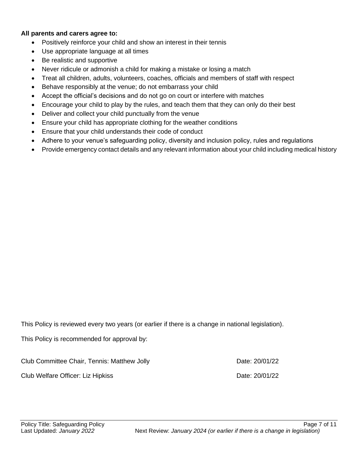#### **All parents and carers agree to:**

- Positively reinforce your child and show an interest in their tennis
- Use appropriate language at all times
- Be realistic and supportive
- Never ridicule or admonish a child for making a mistake or losing a match
- Treat all children, adults, volunteers, coaches, officials and members of staff with respect
- Behave responsibly at the venue; do not embarrass your child
- Accept the official's decisions and do not go on court or interfere with matches
- Encourage your child to play by the rules, and teach them that they can only do their best
- Deliver and collect your child punctually from the venue
- Ensure your child has appropriate clothing for the weather conditions
- Ensure that your child understands their code of conduct
- Adhere to your venue's safeguarding policy, diversity and inclusion policy, rules and regulations
- Provide emergency contact details and any relevant information about your child including medical history

This Policy is reviewed every two years (or earlier if there is a change in national legislation).

This Policy is recommended for approval by:

Club Committee Chair, Tennis: Matthew Jolly **Date: 20/01/22** 

Club Welfare Officer: Liz Hipkiss **Date: 20/01/22**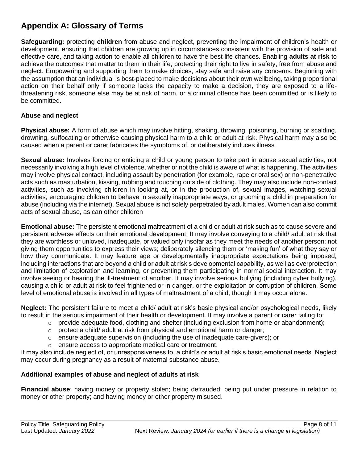## **Appendix A: Glossary of Terms**

**Safeguarding:** protecting **children** from abuse and neglect, preventing the impairment of children's health or development, ensuring that children are growing up in circumstances consistent with the provision of safe and effective care, and taking action to enable all children to have the best life chances. Enabling **adults at risk** to achieve the outcomes that matter to them in their life; protecting their right to live in safety, free from abuse and neglect. Empowering and supporting them to make choices, stay safe and raise any concerns. Beginning with the assumption that an individual is best-placed to make decisions about their own wellbeing, taking proportional action on their behalf only if someone lacks the capacity to make a decision, they are exposed to a lifethreatening risk, someone else may be at risk of harm, or a criminal offence has been committed or is likely to be committed.

#### **Abuse and neglect**

**Physical abuse:** A form of abuse which may involve hitting, shaking, throwing, poisoning, burning or scalding, drowning, suffocating or otherwise causing physical harm to a child or adult at risk. Physical harm may also be caused when a parent or carer fabricates the symptoms of, or deliberately induces illness

**Sexual abuse:** Involves forcing or enticing a child or young person to take part in abuse sexual activities, not necessarily involving a high level of violence, whether or not the child is aware of what is happening. The activities may involve physical contact, including assault by penetration (for example, rape or oral sex) or non-penetrative acts such as masturbation, kissing, rubbing and touching outside of clothing. They may also include non-contact activities, such as involving children in looking at, or in the production of, sexual images, watching sexual activities, encouraging children to behave in sexually inappropriate ways, or grooming a child in preparation for abuse (including via the internet). Sexual abuse is not solely perpetrated by adult males. Women can also commit acts of sexual abuse, as can other children

**Emotional abuse:** The persistent emotional maltreatment of a child or adult at risk such as to cause severe and persistent adverse effects on their emotional development. It may involve conveying to a child/ adult at risk that they are worthless or unloved, inadequate, or valued only insofar as they meet the needs of another person; not giving them opportunities to express their views; deliberately silencing them or 'making fun' of what they say or how they communicate. It may feature age or developmentally inappropriate expectations being imposed, including interactions that are beyond a child or adult at risk's developmental capability, as well as overprotection and limitation of exploration and learning, or preventing them participating in normal social interaction. It may involve seeing or hearing the ill-treatment of another. It may involve serious bullying (including cyber bullying), causing a child or adult at risk to feel frightened or in danger, or the exploitation or corruption of children. Some level of emotional abuse is involved in all types of maltreatment of a child, though it may occur alone.

**Neglect:** The persistent failure to meet a child/ adult at risk's basic physical and/or psychological needs, likely to result in the serious impairment of their health or development. It may involve a parent or carer failing to:

- $\circ$  provide adequate food, clothing and shelter (including exclusion from home or abandonment);
- $\circ$  protect a child/ adult at risk from physical and emotional harm or danger;
- $\circ$  ensure adequate supervision (including the use of inadequate care-givers); or
- o ensure access to appropriate medical care or treatment.

It may also include neglect of, or unresponsiveness to, a child's or adult at risk's basic emotional needs. Neglect may occur during pregnancy as a result of maternal substance abuse.

#### **Additional examples of abuse and neglect of adults at risk**

**Financial abuse**: having money or property stolen; being defrauded; being put under pressure in relation to money or other property; and having money or other property misused.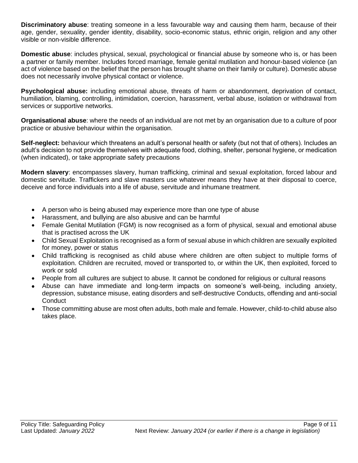**Discriminatory abuse**: treating someone in a less favourable way and causing them harm, because of their age, gender, sexuality, gender identity, disability, socio-economic status, ethnic origin, religion and any other visible or non-visible difference.

**Domestic abuse**: includes physical, sexual, psychological or financial abuse by someone who is, or has been a partner or family member. Includes forced marriage, female genital mutilation and honour-based violence (an act of violence based on the belief that the person has brought shame on their family or culture). Domestic abuse does not necessarily involve physical contact or violence.

**Psychological abuse:** including emotional abuse, threats of harm or abandonment, deprivation of contact, humiliation, blaming, controlling, intimidation, coercion, harassment, verbal abuse, isolation or withdrawal from services or supportive networks.

**Organisational abuse**: where the needs of an individual are not met by an organisation due to a culture of poor practice or abusive behaviour within the organisation.

**Self-neglect:** behaviour which threatens an adult's personal health or safety (but not that of others). Includes an adult's decision to not provide themselves with adequate food, clothing, shelter, personal hygiene, or medication (when indicated), or take appropriate safety precautions

**Modern slavery**: encompasses slavery, human trafficking, criminal and sexual exploitation, forced labour and domestic servitude. Traffickers and slave masters use whatever means they have at their disposal to coerce, deceive and force individuals into a life of abuse, servitude and inhumane treatment.

- A person who is being abused may experience more than one type of abuse
- Harassment, and bullying are also abusive and can be harmful
- Female Genital Mutilation (FGM) is now recognised as a form of physical, sexual and emotional abuse that is practised across the UK
- Child Sexual Exploitation is recognised as a form of sexual abuse in which children are sexually exploited for money, power or status
- Child trafficking is recognised as child abuse where children are often subject to multiple forms of exploitation. Children are recruited, moved or transported to, or within the UK, then exploited, forced to work or sold
- People from all cultures are subject to abuse. It cannot be condoned for religious or cultural reasons
- Abuse can have immediate and long-term impacts on someone's well-being, including anxiety, depression, substance misuse, eating disorders and self-destructive Conducts, offending and anti-social **Conduct**
- Those committing abuse are most often adults, both male and female. However, child-to-child abuse also takes place.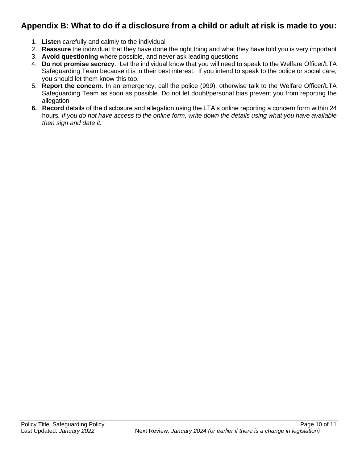## **Appendix B: What to do if a disclosure from a child or adult at risk is made to you:**

- 1. **Listen** carefully and calmly to the individual
- 2. **Reassure** the individual that they have done the right thing and what they have told you is very important
- 3. **Avoid questioning** where possible, and never ask leading questions
- 4. **Do not promise secrecy**. Let the individual know that you will need to speak to the Welfare Officer/LTA Safeguarding Team because it is in their best interest. If you intend to speak to the police or social care, you should let them know this too.
- 5. **Report the concern.** In an emergency, call the police (999), otherwise talk to the Welfare Officer/LTA Safeguarding Team as soon as possible. Do not let doubt/personal bias prevent you from reporting the allegation
- **6. Record** details of the disclosure and allegation using the LTA's online reporting a concern form within 24 hours*. If you do not have access to the online form, write down the details using what you have available then sign and date it.*